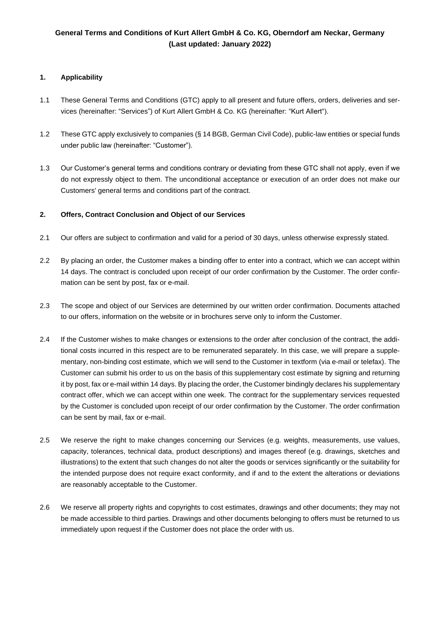# **General Terms and Conditions of Kurt Allert GmbH & Co. KG, Oberndorf am Neckar, Germany (Last updated: January 2022)**

# **1. Applicability**

- 1.1 These General Terms and Conditions (GTC) apply to all present and future offers, orders, deliveries and services (hereinafter: "Services") of Kurt Allert GmbH & Co. KG (hereinafter: "Kurt Allert").
- 1.2 These GTC apply exclusively to companies (§ 14 BGB, German Civil Code), public-law entities or special funds under public law (hereinafter: "Customer").
- 1.3 Our Customer's general terms and conditions contrary or deviating from these GTC shall not apply, even if we do not expressly object to them. The unconditional acceptance or execution of an order does not make our Customers' general terms and conditions part of the contract.

### **2. Offers, Contract Conclusion and Object of our Services**

- 2.1 Our offers are subject to confirmation and valid for a period of 30 days, unless otherwise expressly stated.
- 2.2 By placing an order, the Customer makes a binding offer to enter into a contract, which we can accept within 14 days. The contract is concluded upon receipt of our order confirmation by the Customer. The order confirmation can be sent by post, fax or e-mail.
- 2.3 The scope and object of our Services are determined by our written order confirmation. Documents attached to our offers, information on the website or in brochures serve only to inform the Customer.
- 2.4 If the Customer wishes to make changes or extensions to the order after conclusion of the contract, the additional costs incurred in this respect are to be remunerated separately. In this case, we will prepare a supplementary, non-binding cost estimate, which we will send to the Customer in textform (via e-mail or telefax). The Customer can submit his order to us on the basis of this supplementary cost estimate by signing and returning it by post, fax or e-mail within 14 days. By placing the order, the Customer bindingly declares his supplementary contract offer, which we can accept within one week. The contract for the supplementary services requested by the Customer is concluded upon receipt of our order confirmation by the Customer. The order confirmation can be sent by mail, fax or e-mail.
- 2.5 We reserve the right to make changes concerning our Services (e.g. weights, measurements, use values, capacity, tolerances, technical data, product descriptions) and images thereof (e.g. drawings, sketches and illustrations) to the extent that such changes do not alter the goods or services significantly or the suitability for the intended purpose does not require exact conformity, and if and to the extent the alterations or deviations are reasonably acceptable to the Customer.
- 2.6 We reserve all property rights and copyrights to cost estimates, drawings and other documents; they may not be made accessible to third parties. Drawings and other documents belonging to offers must be returned to us immediately upon request if the Customer does not place the order with us.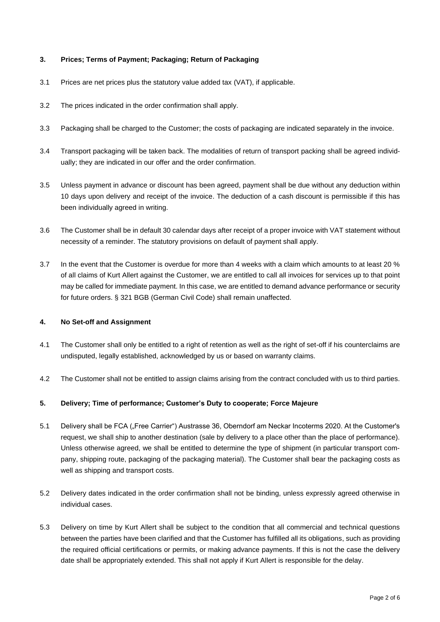# **3. Prices; Terms of Payment; Packaging; Return of Packaging**

- 3.1 Prices are net prices plus the statutory value added tax (VAT), if applicable.
- 3.2 The prices indicated in the order confirmation shall apply.
- 3.3 Packaging shall be charged to the Customer; the costs of packaging are indicated separately in the invoice.
- 3.4 Transport packaging will be taken back. The modalities of return of transport packing shall be agreed individually; they are indicated in our offer and the order confirmation.
- 3.5 Unless payment in advance or discount has been agreed, payment shall be due without any deduction within 10 days upon delivery and receipt of the invoice. The deduction of a cash discount is permissible if this has been individually agreed in writing.
- 3.6 The Customer shall be in default 30 calendar days after receipt of a proper invoice with VAT statement without necessity of a reminder. The statutory provisions on default of payment shall apply.
- 3.7 In the event that the Customer is overdue for more than 4 weeks with a claim which amounts to at least 20 % of all claims of Kurt Allert against the Customer, we are entitled to call all invoices for services up to that point may be called for immediate payment. In this case, we are entitled to demand advance performance or security for future orders. § 321 BGB (German Civil Code) shall remain unaffected.

#### **4. No Set-off and Assignment**

- 4.1 The Customer shall only be entitled to a right of retention as well as the right of set-off if his counterclaims are undisputed, legally established, acknowledged by us or based on warranty claims.
- 4.2 The Customer shall not be entitled to assign claims arising from the contract concluded with us to third parties.

#### **5. Delivery; Time of performance; Customer's Duty to cooperate; Force Majeure**

- 5.1 Delivery shall be FCA ("Free Carrier") Austrasse 36, Oberndorf am Neckar Incoterms 2020. At the Customer's request, we shall ship to another destination (sale by delivery to a place other than the place of performance). Unless otherwise agreed, we shall be entitled to determine the type of shipment (in particular transport company, shipping route, packaging of the packaging material). The Customer shall bear the packaging costs as well as shipping and transport costs.
- 5.2 Delivery dates indicated in the order confirmation shall not be binding, unless expressly agreed otherwise in individual cases.
- 5.3 Delivery on time by Kurt Allert shall be subject to the condition that all commercial and technical questions between the parties have been clarified and that the Customer has fulfilled all its obligations, such as providing the required official certifications or permits, or making advance payments. If this is not the case the delivery date shall be appropriately extended. This shall not apply if Kurt Allert is responsible for the delay.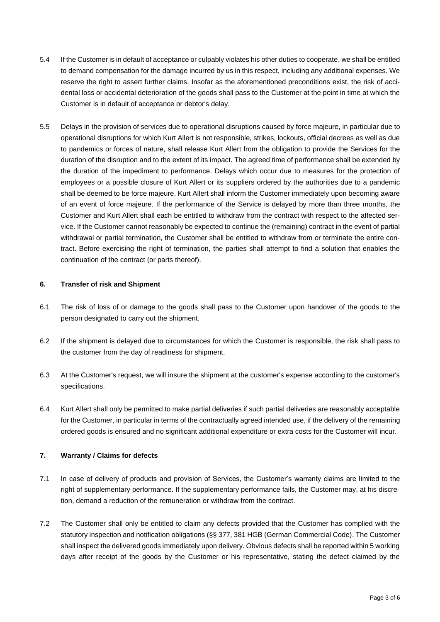- 5.4 If the Customer is in default of acceptance or culpably violates his other duties to cooperate, we shall be entitled to demand compensation for the damage incurred by us in this respect, including any additional expenses. We reserve the right to assert further claims. Insofar as the aforementioned preconditions exist, the risk of accidental loss or accidental deterioration of the goods shall pass to the Customer at the point in time at which the Customer is in default of acceptance or debtor's delay.
- 5.5 Delays in the provision of services due to operational disruptions caused by force majeure, in particular due to operational disruptions for which Kurt Allert is not responsible, strikes, lockouts, official decrees as well as due to pandemics or forces of nature, shall release Kurt Allert from the obligation to provide the Services for the duration of the disruption and to the extent of its impact. The agreed time of performance shall be extended by the duration of the impediment to performance. Delays which occur due to measures for the protection of employees or a possible closure of Kurt Allert or its suppliers ordered by the authorities due to a pandemic shall be deemed to be force majeure. Kurt Allert shall inform the Customer immediately upon becoming aware of an event of force majeure. If the performance of the Service is delayed by more than three months, the Customer and Kurt Allert shall each be entitled to withdraw from the contract with respect to the affected service. If the Customer cannot reasonably be expected to continue the (remaining) contract in the event of partial withdrawal or partial termination, the Customer shall be entitled to withdraw from or terminate the entire contract. Before exercising the right of termination, the parties shall attempt to find a solution that enables the continuation of the contract (or parts thereof).

### **6. Transfer of risk and Shipment**

- 6.1 The risk of loss of or damage to the goods shall pass to the Customer upon handover of the goods to the person designated to carry out the shipment.
- 6.2 If the shipment is delayed due to circumstances for which the Customer is responsible, the risk shall pass to the customer from the day of readiness for shipment.
- 6.3 At the Customer's request, we will insure the shipment at the customer's expense according to the customer's specifications.
- 6.4 Kurt Allert shall only be permitted to make partial deliveries if such partial deliveries are reasonably acceptable for the Customer, in particular in terms of the contractually agreed intended use, if the delivery of the remaining ordered goods is ensured and no significant additional expenditure or extra costs for the Customer will incur.

# **7. Warranty / Claims for defects**

- 7.1 In case of delivery of products and provision of Services, the Customer's warranty claims are limited to the right of supplementary performance. If the supplementary performance fails, the Customer may, at his discretion, demand a reduction of the remuneration or withdraw from the contract.
- 7.2 The Customer shall only be entitled to claim any defects provided that the Customer has complied with the statutory inspection and notification obligations (§§ 377, 381 HGB (German Commercial Code). The Customer shall inspect the delivered goods immediately upon delivery. Obvious defects shall be reported within 5 working days after receipt of the goods by the Customer or his representative, stating the defect claimed by the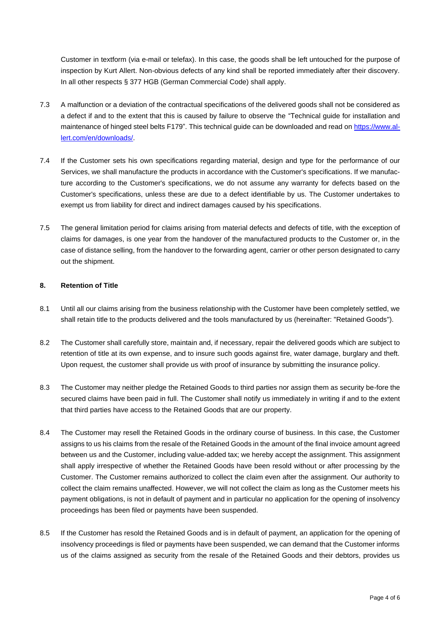Customer in textform (via e-mail or telefax). In this case, the goods shall be left untouched for the purpose of inspection by Kurt Allert. Non-obvious defects of any kind shall be reported immediately after their discovery. In all other respects § 377 HGB (German Commercial Code) shall apply.

- 7.3 A malfunction or a deviation of the contractual specifications of the delivered goods shall not be considered as a defect if and to the extent that this is caused by failure to observe the "Technical guide for installation and maintenance of hinged steel belts F179". This technical guide can be downloaded and read on [https://www.al](https://www.allert.com/en/downloads/)[lert.com/en/downloads/.](https://www.allert.com/en/downloads/)
- 7.4 If the Customer sets his own specifications regarding material, design and type for the performance of our Services, we shall manufacture the products in accordance with the Customer's specifications. If we manufacture according to the Customer's specifications, we do not assume any warranty for defects based on the Customer's specifications, unless these are due to a defect identifiable by us. The Customer undertakes to exempt us from liability for direct and indirect damages caused by his specifications.
- 7.5 The general limitation period for claims arising from material defects and defects of title, with the exception of claims for damages, is one year from the handover of the manufactured products to the Customer or, in the case of distance selling, from the handover to the forwarding agent, carrier or other person designated to carry out the shipment.

#### **8. Retention of Title**

- 8.1 Until all our claims arising from the business relationship with the Customer have been completely settled, we shall retain title to the products delivered and the tools manufactured by us (hereinafter: "Retained Goods").
- 8.2 The Customer shall carefully store, maintain and, if necessary, repair the delivered goods which are subject to retention of title at its own expense, and to insure such goods against fire, water damage, burglary and theft. Upon request, the customer shall provide us with proof of insurance by submitting the insurance policy.
- 8.3 The Customer may neither pledge the Retained Goods to third parties nor assign them as security be-fore the secured claims have been paid in full. The Customer shall notify us immediately in writing if and to the extent that third parties have access to the Retained Goods that are our property.
- 8.4 The Customer may resell the Retained Goods in the ordinary course of business. In this case, the Customer assigns to us his claims from the resale of the Retained Goods in the amount of the final invoice amount agreed between us and the Customer, including value-added tax; we hereby accept the assignment. This assignment shall apply irrespective of whether the Retained Goods have been resold without or after processing by the Customer. The Customer remains authorized to collect the claim even after the assignment. Our authority to collect the claim remains unaffected. However, we will not collect the claim as long as the Customer meets his payment obligations, is not in default of payment and in particular no application for the opening of insolvency proceedings has been filed or payments have been suspended.
- 8.5 If the Customer has resold the Retained Goods and is in default of payment, an application for the opening of insolvency proceedings is filed or payments have been suspended, we can demand that the Customer informs us of the claims assigned as security from the resale of the Retained Goods and their debtors, provides us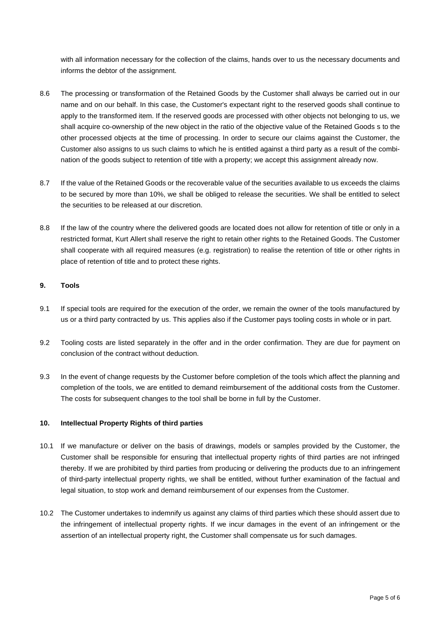with all information necessary for the collection of the claims, hands over to us the necessary documents and informs the debtor of the assignment.

- 8.6 The processing or transformation of the Retained Goods by the Customer shall always be carried out in our name and on our behalf. In this case, the Customer's expectant right to the reserved goods shall continue to apply to the transformed item. If the reserved goods are processed with other objects not belonging to us, we shall acquire co-ownership of the new object in the ratio of the objective value of the Retained Goods s to the other processed objects at the time of processing. In order to secure our claims against the Customer, the Customer also assigns to us such claims to which he is entitled against a third party as a result of the combination of the goods subject to retention of title with a property; we accept this assignment already now.
- 8.7 If the value of the Retained Goods or the recoverable value of the securities available to us exceeds the claims to be secured by more than 10%, we shall be obliged to release the securities. We shall be entitled to select the securities to be released at our discretion.
- 8.8 If the law of the country where the delivered goods are located does not allow for retention of title or only in a restricted format, Kurt Allert shall reserve the right to retain other rights to the Retained Goods. The Customer shall cooperate with all required measures (e.g. registration) to realise the retention of title or other rights in place of retention of title and to protect these rights.

### **9. Tools**

- 9.1 If special tools are required for the execution of the order, we remain the owner of the tools manufactured by us or a third party contracted by us. This applies also if the Customer pays tooling costs in whole or in part.
- 9.2 Tooling costs are listed separately in the offer and in the order confirmation. They are due for payment on conclusion of the contract without deduction.
- 9.3 In the event of change requests by the Customer before completion of the tools which affect the planning and completion of the tools, we are entitled to demand reimbursement of the additional costs from the Customer. The costs for subsequent changes to the tool shall be borne in full by the Customer.

#### **10. Intellectual Property Rights of third parties**

- 10.1 If we manufacture or deliver on the basis of drawings, models or samples provided by the Customer, the Customer shall be responsible for ensuring that intellectual property rights of third parties are not infringed thereby. If we are prohibited by third parties from producing or delivering the products due to an infringement of third-party intellectual property rights, we shall be entitled, without further examination of the factual and legal situation, to stop work and demand reimbursement of our expenses from the Customer.
- 10.2 The Customer undertakes to indemnify us against any claims of third parties which these should assert due to the infringement of intellectual property rights. If we incur damages in the event of an infringement or the assertion of an intellectual property right, the Customer shall compensate us for such damages.